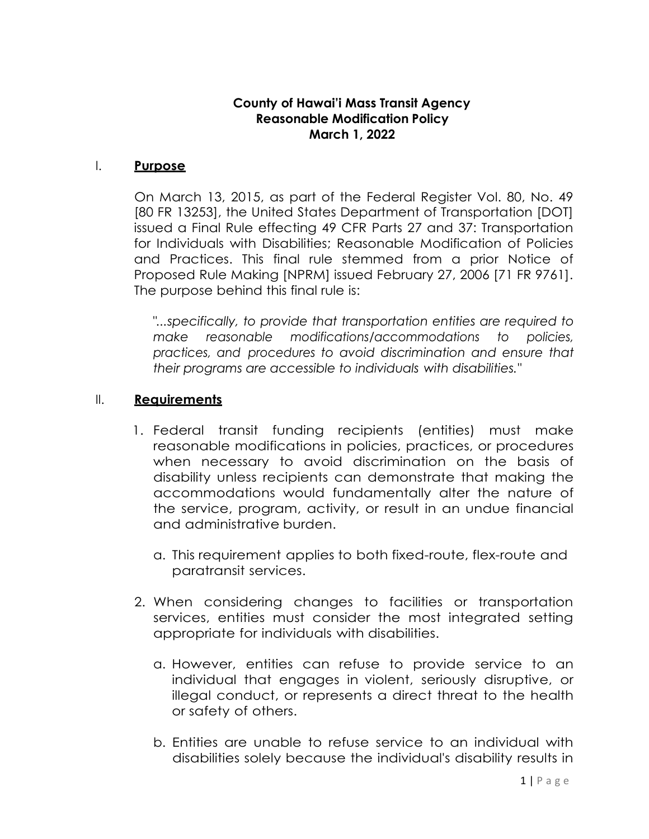# **County of Hawai'i Mass Transit Agency Reasonable Modification Policy March 1, 2022**

### I. **Purpose**

On March 13, 2015, as part of the Federal Register Vol. 80, No. 49 [80 FR 13253], the United States Department of Transportation [DOT] issued a Final Rule effecting 49 CFR Parts 27 and 37: Transportation for Individuals with Disabilities; Reasonable Modification of Policies and Practices. This final rule stemmed from a prior Notice of Proposed Rule Making [NPRM] issued February 27, 2006 [71 FR 9761]. The purpose behind this final rule is:

*"...specifically, to provide that transportation entities are required to make reasonable modifications/accommodations to policies, practices, and procedures to avoid discrimination and ensure that their programs are accessible to individuals with disabilities."*

## II. **Requirements**

- 1. Federal transit funding recipients (entities) must make reasonable modifications in policies, practices, or procedures when necessary to avoid discrimination on the basis of disability unless recipients can demonstrate that making the accommodations would fundamentally alter the nature of the service, program, activity, or result in an undue financial and administrative burden.
	- a. This requirement applies to both fixed-route, flex-route and paratransit services.
- 2. When considering changes to facilities or transportation services, entities must consider the most integrated setting appropriate for individuals with disabilities.
	- a. However, entities can refuse to provide service to an individual that engages in violent, seriously disruptive, or illegal conduct, or represents a direct threat to the health or safety of others.
	- b. Entities are unable to refuse service to an individual with disabilities solely because the individual's disability results in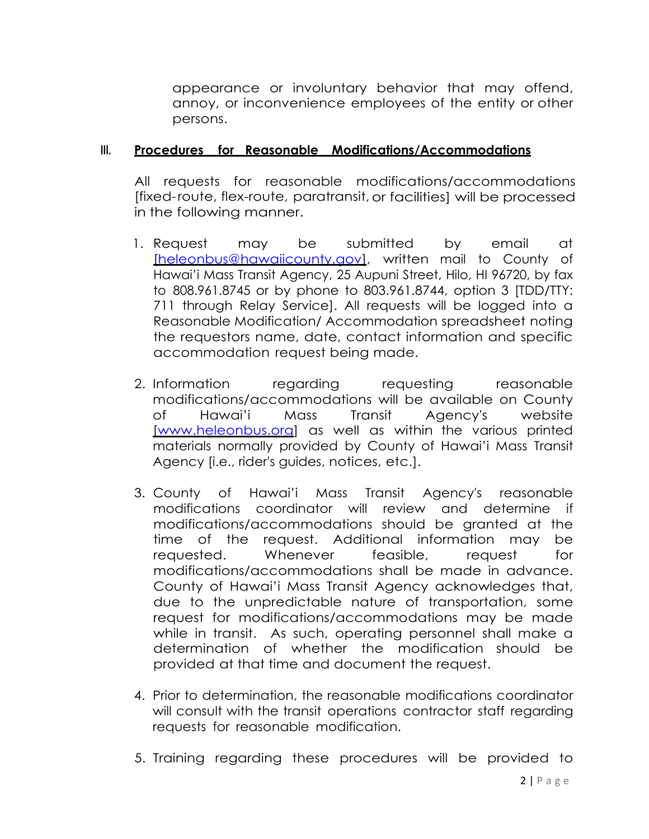appearance or involuntary behavior that may offend, annoy, or inconvenience employees of the entity or other persons.

#### **III. Procedures for Reasonable Modifications/Accommodations**

All requests for reasonable modifications/accommodations [fixed-route, flex-route, paratransit,or facilities] will be processed in the following manner.

- 1. Request may be submitted by email at [heleonbus@hawaiicounty.gov], written mail to County of Hawai'i Mass Transit Agency, 25 Aupuni Street, Hilo, HI 96720, by fax to 808.961.8745 or by phone to 803.961.8744, option 3 [TDD/TTY: 711 through Relay Service]. All requests will be logged into a Reasonable Modification/ Accommodation spreadsheet noting the requestors name, date, contact information and specific accommodation request being made.
- 2. Information regarding requesting reasonable modifications/accommodations will be available on County of Hawai'i Mass Transit Agency's website [\[www.heleonbus.org\]](http://www.catchthecomet.org/) as well as within the various printed materials normally provided by County of Hawai'i Mass Transit Agency [i.e., rider's guides, notices, etc.].
- 3. County of Hawai'i Mass Transit Agency's reasonable modifications coordinator will review and determine if modifications/accommodations should be granted at the time of the request. Additional information may be requested. Whenever feasible, request for modifications/accommodations shall be made in advance. County of Hawai'i Mass Transit Agency acknowledges that, due to the unpredictable nature of transportation, some request for modifications/accommodations may be made while in transit. As such, operating personnel shall make a determination of whether the modification should be provided at that time and document the request.
- 4. Prior to determination, the reasonable modifications coordinator will consult with the transit operations contractor staff regarding requests for reasonable modification.
- 5. Training regarding these procedures will be provided to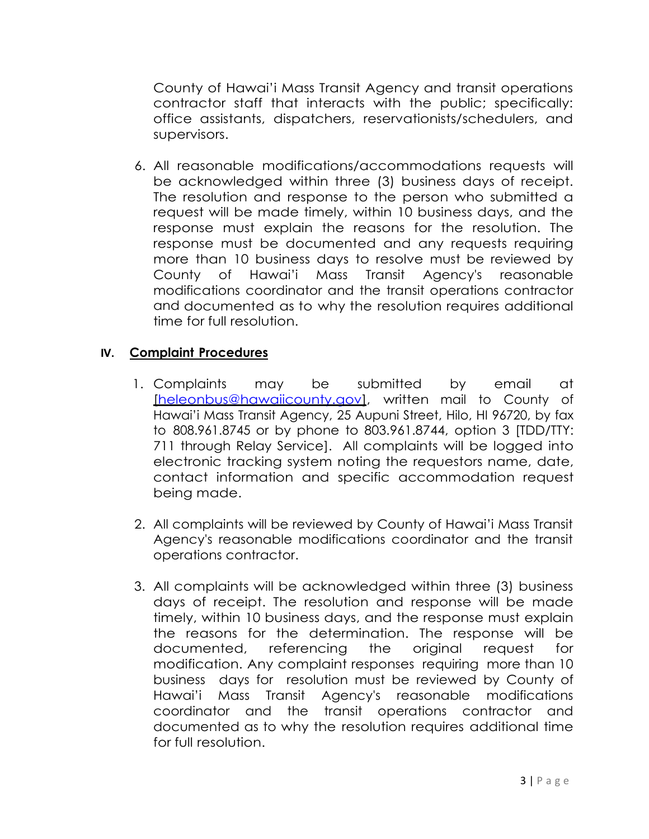County of Hawai'i Mass Transit Agency and transit operations contractor staff that interacts with the public; specifically: office assistants, dispatchers, reservationists/schedulers, and supervisors.

6. All reasonable modifications/accommodations requests will be acknowledged within three (3) business days of receipt. The resolution and response to the person who submitted a request will be made timely, within 10 business days, and the response must explain the reasons for the resolution. The response must be documented and any requests requiring more than 10 business days to resolve must be reviewed by County of Hawai'i Mass Transit Agency's reasonable modifications coordinator and the transit operations contractor and documented as to why the resolution requires additional time for full resolution.

### **IV. Complaint Procedures**

- 1. Complaints may be submitted by email at [heleonbus@hawaiicounty.gov], written mail to County of Hawai'i Mass Transit Agency, 25 Aupuni Street, Hilo, HI 96720, by fax to 808.961.8745 or by phone to 803.961.8744, option 3 [TDD/TTY: 711 through Relay Service]. All complaints will be logged into electronic tracking system noting the requestors name, date, contact information and specific accommodation request being made.
- 2. All complaints will be reviewed by County of Hawai'i Mass Transit Agency's reasonable modifications coordinator and the transit operations contractor.
- 3. All complaints will be acknowledged within three (3) business days of receipt. The resolution and response will be made timely, within 10 business days, and the response must explain the reasons for the determination. The response will be documented, referencing the original request for modification. Any complaint responses requiring more than 10 business days for resolution must be reviewed by County of Hawai'i Mass Transit Agency's reasonable modifications coordinator and the transit operations contractor and documented as to why the resolution requires additional time for full resolution.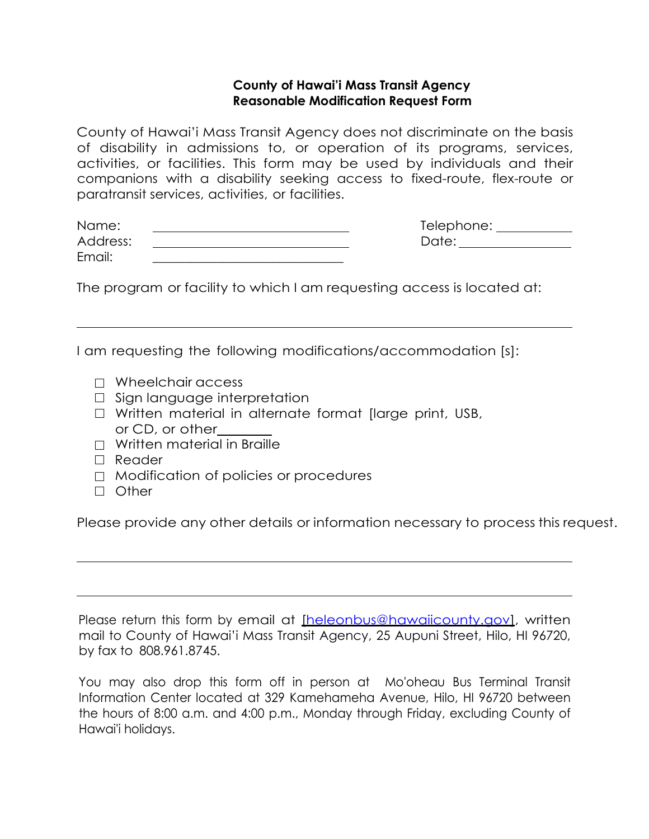## **County of Hawai'i Mass Transit Agency Reasonable Modification Request Form**

County of Hawai'i Mass Transit Agency does not discriminate on the basis of disability in admissions to, or operation of its programs, services, activities, or facilities. This form may be used by individuals and their companions with a disability seeking access to fixed-route, flex-route or paratransit services, activities, or facilities.

| Name:    | Telephone: |
|----------|------------|
| Address: | Date:      |
| Email:   |            |

The program or facility to which I am requesting access is located at:

I am requesting the following modifications/accommodation [s]:

- $\Box$  Wheelchair access
- □ Sign language interpretation
- □ Written material in alternate format [large print, USB, or CD, or other
- $\neg$  Written material in Braille
- □ Reader
- □ Modification of policies or procedures
- □ Other

Please provide any other details or information necessary to process this request.

Please return this form by email at [heleonbus@hawaiicounty.gov], written mail to County of Hawai'i Mass Transit Agency, 25 Aupuni Street, Hilo, HI 96720, by fax to 808.961.8745.

You may also drop this form off in person at Mo'oheau Bus Terminal Transit Information Center located at 329 Kamehameha Avenue, Hilo, HI 96720 between the hours of 8:00 a.m. and 4:00 p.m., Monday through Friday, excluding County of Hawai'i holidays.